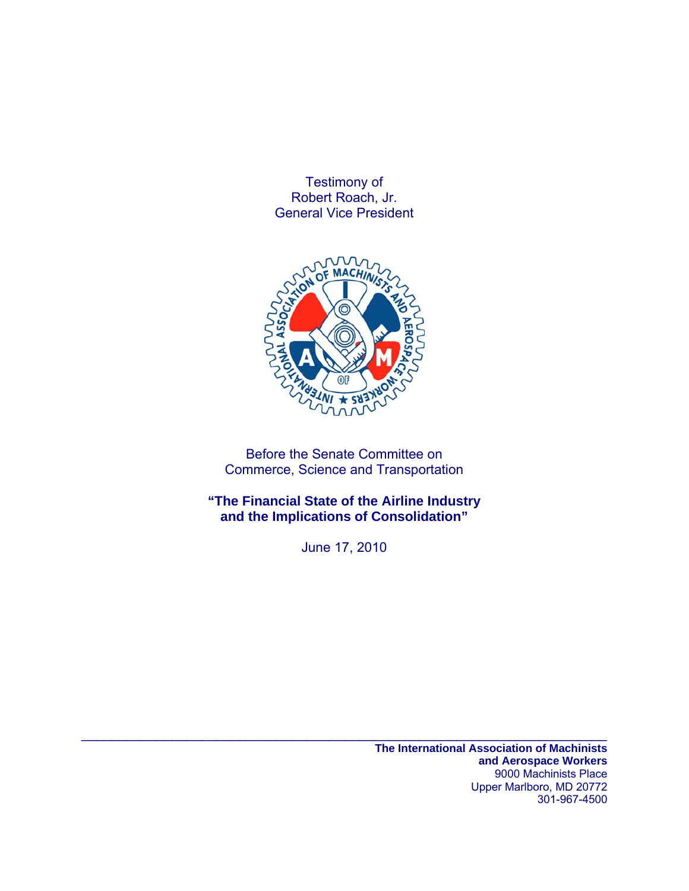Testimony of Robert Roach, Jr. General Vice President



Before the Senate Committee on Commerce, Science and Transportation

**"The Financial State of the Airline Industry and the Implications of Consolidation"** 

June 17, 2010

 $\mathcal{L}_\text{max} = \mathcal{L}_\text{max} = \mathcal{L}_\text{max} = \mathcal{L}_\text{max} = \mathcal{L}_\text{max} = \mathcal{L}_\text{max} = \mathcal{L}_\text{max} = \mathcal{L}_\text{max} = \mathcal{L}_\text{max} = \mathcal{L}_\text{max} = \mathcal{L}_\text{max} = \mathcal{L}_\text{max} = \mathcal{L}_\text{max} = \mathcal{L}_\text{max} = \mathcal{L}_\text{max} = \mathcal{L}_\text{max} = \mathcal{L}_\text{max} = \mathcal{L}_\text{max} = \mathcal{$ 

**The International Association of Machinists and Aerospace Workers**  9000 Machinists Place Upper Marlboro, MD 20772 301-967-4500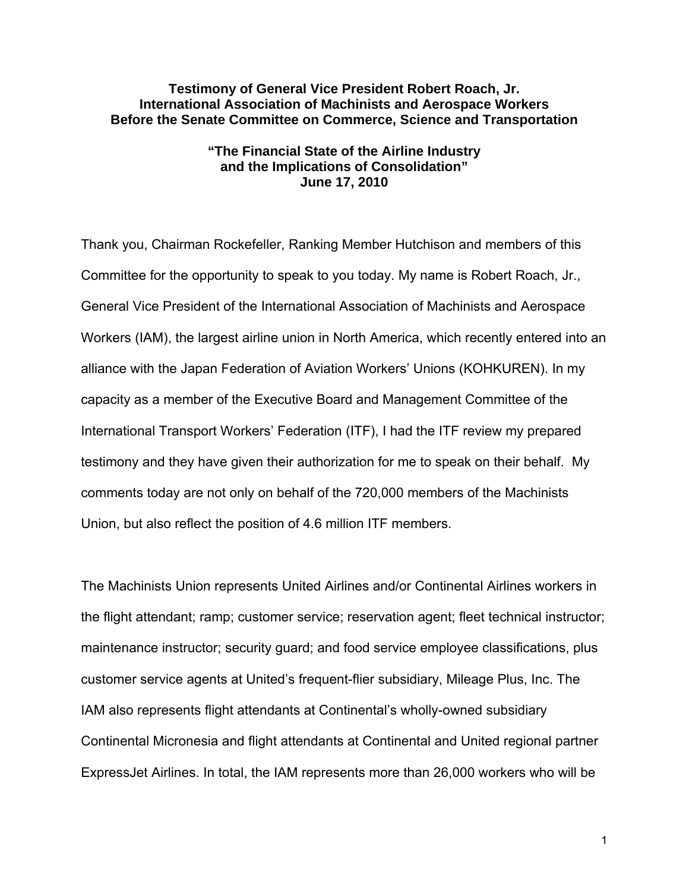### **Testimony of General Vice President Robert Roach, Jr. International Association of Machinists and Aerospace Workers Before the Senate Committee on Commerce, Science and Transportation**

# **"The Financial State of the Airline Industry and the Implications of Consolidation" June 17, 2010**

Thank you, Chairman Rockefeller, Ranking Member Hutchison and members of this Committee for the opportunity to speak to you today. My name is Robert Roach, Jr., General Vice President of the International Association of Machinists and Aerospace Workers (IAM), the largest airline union in North America, which recently entered into an alliance with the Japan Federation of Aviation Workers' Unions (KOHKUREN). In my capacity as a member of the Executive Board and Management Committee of the International Transport Workers' Federation (ITF), I had the ITF review my prepared testimony and they have given their authorization for me to speak on their behalf. My comments today are not only on behalf of the 720,000 members of the Machinists Union, but also reflect the position of 4.6 million ITF members.

The Machinists Union represents United Airlines and/or Continental Airlines workers in the flight attendant; ramp; customer service; reservation agent; fleet technical instructor; maintenance instructor; security guard; and food service employee classifications, plus customer service agents at United's frequent-flier subsidiary, Mileage Plus, Inc. The IAM also represents flight attendants at Continental's wholly-owned subsidiary Continental Micronesia and flight attendants at Continental and United regional partner ExpressJet Airlines. In total, the IAM represents more than 26,000 workers who will be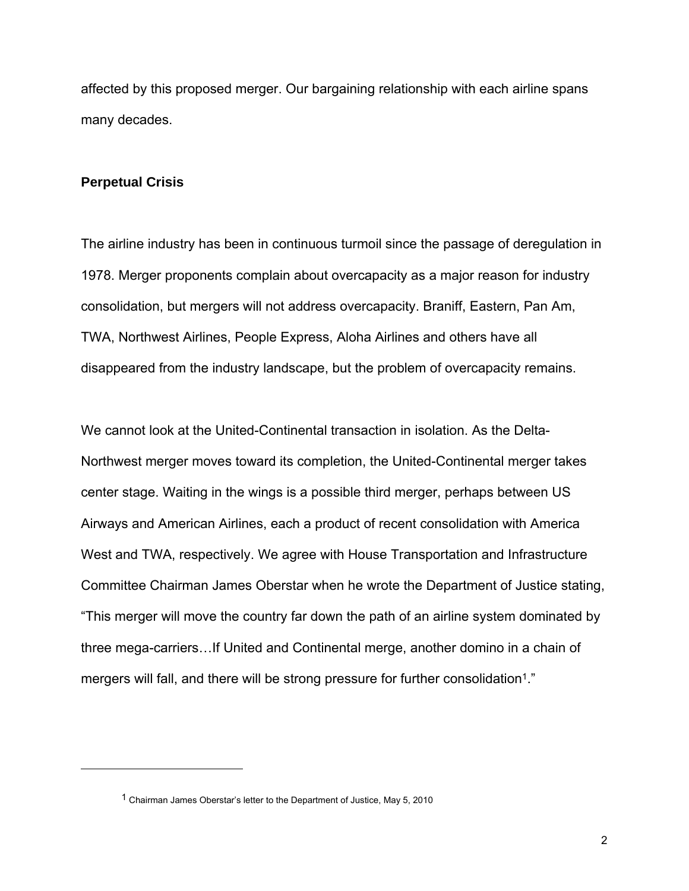affected by this proposed merger. Our bargaining relationship with each airline spans many decades.

#### **Perpetual Crisis**

 $\overline{a}$ 

The airline industry has been in continuous turmoil since the passage of deregulation in 1978. Merger proponents complain about overcapacity as a major reason for industry consolidation, but mergers will not address overcapacity. Braniff, Eastern, Pan Am, TWA, Northwest Airlines, People Express, Aloha Airlines and others have all disappeared from the industry landscape, but the problem of overcapacity remains.

We cannot look at the United-Continental transaction in isolation. As the Delta-Northwest merger moves toward its completion, the United-Continental merger takes center stage. Waiting in the wings is a possible third merger, perhaps between US Airways and American Airlines, each a product of recent consolidation with America West and TWA, respectively. We agree with House Transportation and Infrastructure Committee Chairman James Oberstar when he wrote the Department of Justice stating, "This merger will move the country far down the path of an airline system dominated by three mega-carriers…If United and Continental merge, another domino in a chain of mergers will fall, and there will be strong pressure for further consolidation1."

<sup>1</sup> Chairman James Oberstar's letter to the Department of Justice, May 5, 2010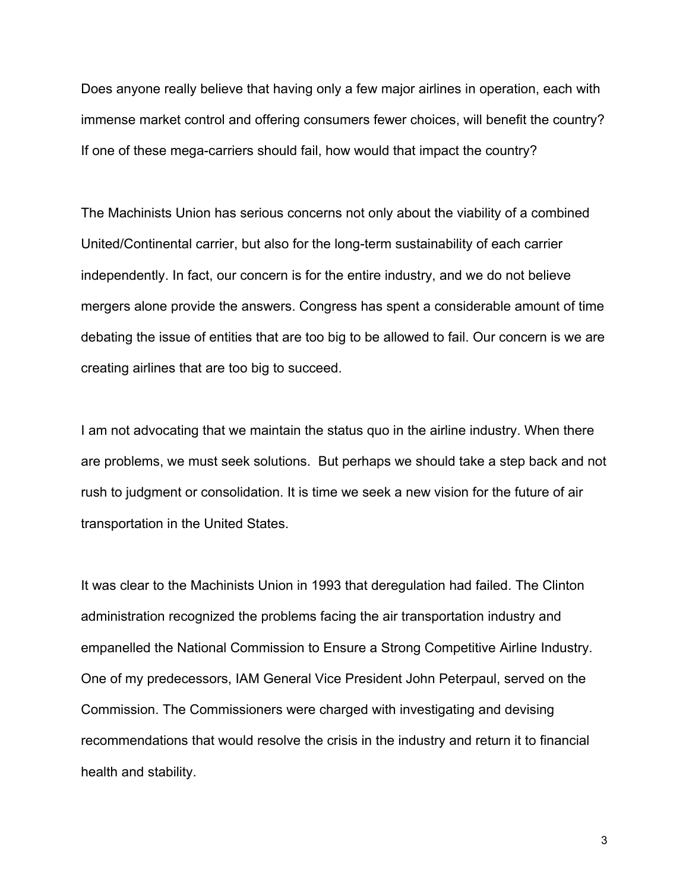Does anyone really believe that having only a few major airlines in operation, each with immense market control and offering consumers fewer choices, will benefit the country? If one of these mega-carriers should fail, how would that impact the country?

The Machinists Union has serious concerns not only about the viability of a combined United/Continental carrier, but also for the long-term sustainability of each carrier independently. In fact, our concern is for the entire industry, and we do not believe mergers alone provide the answers. Congress has spent a considerable amount of time debating the issue of entities that are too big to be allowed to fail. Our concern is we are creating airlines that are too big to succeed.

I am not advocating that we maintain the status quo in the airline industry. When there are problems, we must seek solutions. But perhaps we should take a step back and not rush to judgment or consolidation. It is time we seek a new vision for the future of air transportation in the United States.

It was clear to the Machinists Union in 1993 that deregulation had failed. The Clinton administration recognized the problems facing the air transportation industry and empanelled the National Commission to Ensure a Strong Competitive Airline Industry. One of my predecessors, IAM General Vice President John Peterpaul, served on the Commission. The Commissioners were charged with investigating and devising recommendations that would resolve the crisis in the industry and return it to financial health and stability.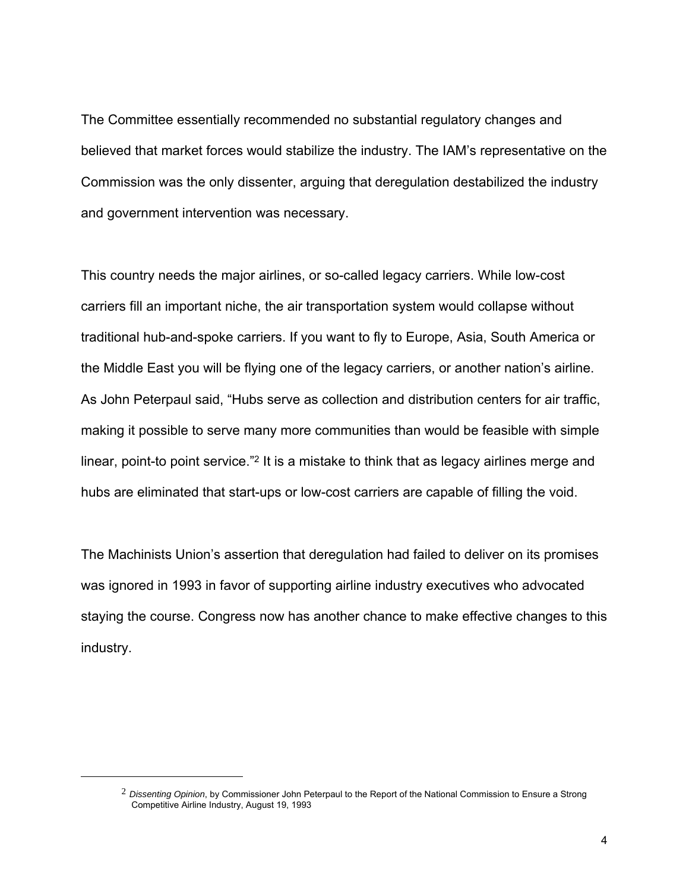The Committee essentially recommended no substantial regulatory changes and believed that market forces would stabilize the industry. The IAM's representative on the Commission was the only dissenter, arguing that deregulation destabilized the industry and government intervention was necessary.

This country needs the major airlines, or so-called legacy carriers. While low-cost carriers fill an important niche, the air transportation system would collapse without traditional hub-and-spoke carriers. If you want to fly to Europe, Asia, South America or the Middle East you will be flying one of the legacy carriers, or another nation's airline. As John Peterpaul said, "Hubs serve as collection and distribution centers for air traffic, making it possible to serve many more communities than would be feasible with simple linear, point-to point service."2 It is a mistake to think that as legacy airlines merge and hubs are eliminated that start-ups or low-cost carriers are capable of filling the void.

The Machinists Union's assertion that deregulation had failed to deliver on its promises was ignored in 1993 in favor of supporting airline industry executives who advocated staying the course. Congress now has another chance to make effective changes to this industry.

<sup>2</sup> *Dissenting Opinion*, by Commissioner John Peterpaul to the Report of the National Commission to Ensure a Strong Competitive Airline Industry, August 19, 1993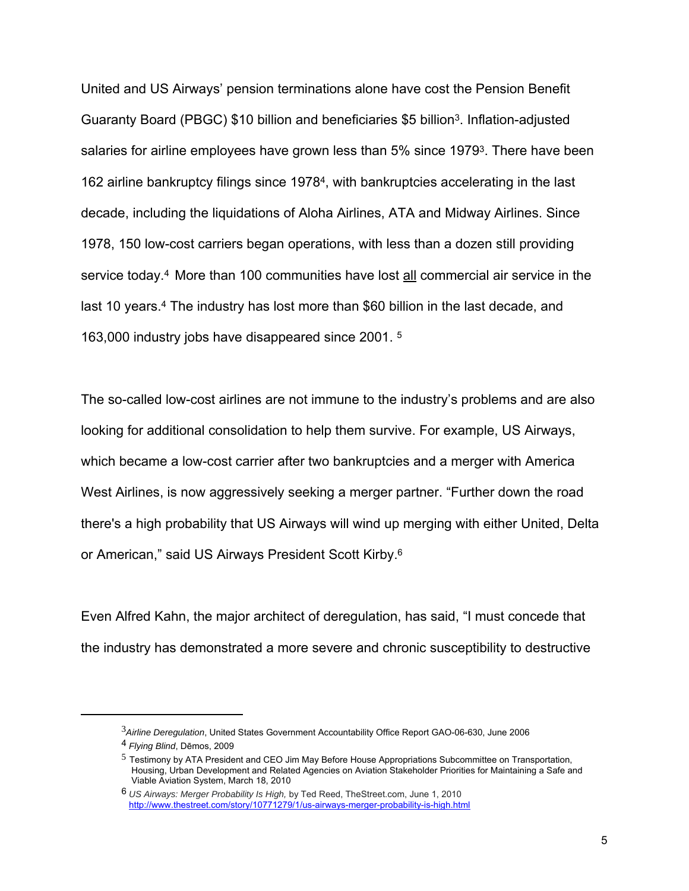United and US Airways' pension terminations alone have cost the Pension Benefit Guaranty Board (PBGC) \$10 billion and beneficiaries \$5 billion3. Inflation-adjusted salaries for airline employees have grown less than 5% since 19793. There have been 162 airline bankruptcy filings since 19784, with bankruptcies accelerating in the last decade, including the liquidations of Aloha Airlines, ATA and Midway Airlines. Since 1978, 150 low-cost carriers began operations, with less than a dozen still providing service today.4 More than 100 communities have lost all commercial air service in the last 10 years.<sup>4</sup> The industry has lost more than \$60 billion in the last decade, and 163,000 industry jobs have disappeared since 2001. 5

The so-called low-cost airlines are not immune to the industry's problems and are also looking for additional consolidation to help them survive. For example, US Airways, which became a low-cost carrier after two bankruptcies and a merger with America West Airlines, is now aggressively seeking a merger partner. "Further down the road there's a high probability that US Airways will wind up merging with either United, Delta or American," said US Airways President Scott Kirby.6

Even Alfred Kahn, the major architect of deregulation, has said, "I must concede that the industry has demonstrated a more severe and chronic susceptibility to destructive

<sup>3</sup>*Airline Deregulation*, United States Government Accountability Office Report GAO-06-630, June 2006

<sup>4</sup> *Flying Blind*, Dēmos, 2009

 $<sup>5</sup>$  Testimony by ATA President and CEO Jim May Before House Appropriations Subcommittee on Transportation,</sup> Housing, Urban Development and Related Agencies on Aviation Stakeholder Priorities for Maintaining a Safe and Viable Aviation System, March 18, 2010

<sup>6</sup> *US Airways: Merger Probability Is High,* by Ted Reed, TheStreet.com, June 1, 2010 http://www.thestreet.com/story/10771279/1/us-airways-merger-probability-is-high.html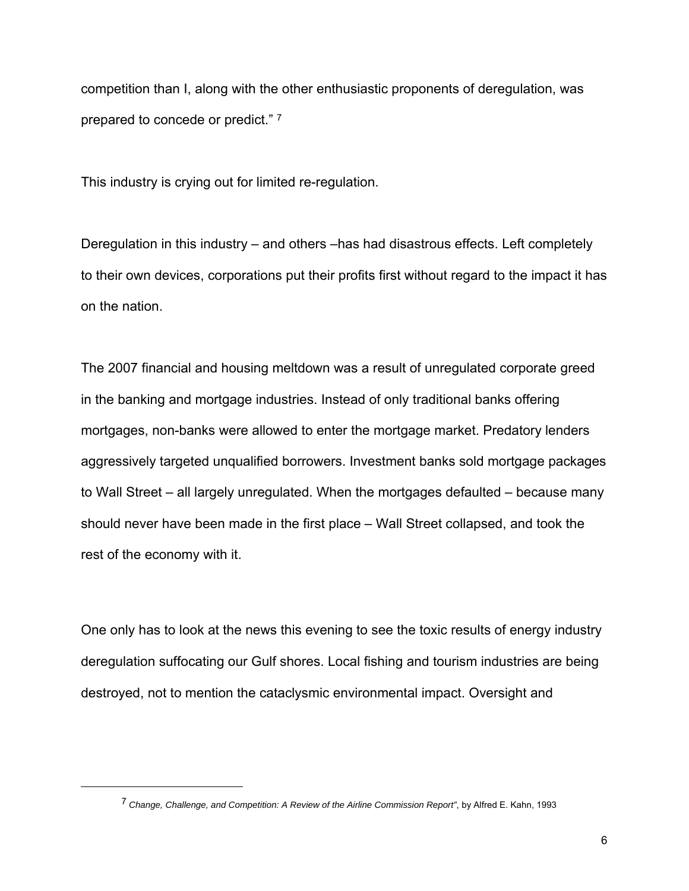competition than I, along with the other enthusiastic proponents of deregulation, was prepared to concede or predict." 7

This industry is crying out for limited re-regulation.

Deregulation in this industry – and others –has had disastrous effects. Left completely to their own devices, corporations put their profits first without regard to the impact it has on the nation.

The 2007 financial and housing meltdown was a result of unregulated corporate greed in the banking and mortgage industries. Instead of only traditional banks offering mortgages, non-banks were allowed to enter the mortgage market. Predatory lenders aggressively targeted unqualified borrowers. Investment banks sold mortgage packages to Wall Street – all largely unregulated. When the mortgages defaulted – because many should never have been made in the first place – Wall Street collapsed, and took the rest of the economy with it.

One only has to look at the news this evening to see the toxic results of energy industry deregulation suffocating our Gulf shores. Local fishing and tourism industries are being destroyed, not to mention the cataclysmic environmental impact. Oversight and

<sup>7</sup> *Change, Challenge, and Competition: A Review of the Airline Commission Report"*, by Alfred E. Kahn, 1993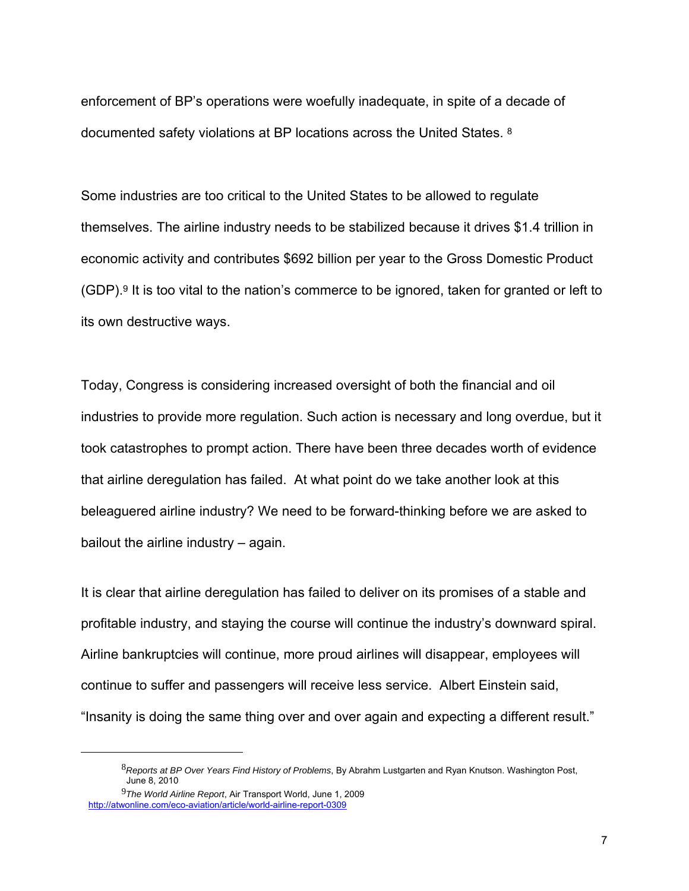enforcement of BP's operations were woefully inadequate, in spite of a decade of documented safety violations at BP locations across the United States. 8

Some industries are too critical to the United States to be allowed to regulate themselves. The airline industry needs to be stabilized because it drives \$1.4 trillion in economic activity and contributes \$692 billion per year to the Gross Domestic Product (GDP).9 It is too vital to the nation's commerce to be ignored, taken for granted or left to its own destructive ways.

Today, Congress is considering increased oversight of both the financial and oil industries to provide more regulation. Such action is necessary and long overdue, but it took catastrophes to prompt action. There have been three decades worth of evidence that airline deregulation has failed. At what point do we take another look at this beleaguered airline industry? We need to be forward-thinking before we are asked to bailout the airline industry – again.

It is clear that airline deregulation has failed to deliver on its promises of a stable and profitable industry, and staying the course will continue the industry's downward spiral. Airline bankruptcies will continue, more proud airlines will disappear, employees will continue to suffer and passengers will receive less service. Albert Einstein said, "Insanity is doing the same thing over and over again and expecting a different result."

<sup>8</sup>*Reports at BP Over Years Find History of Problems*, By Abrahm Lustgarten and Ryan Knutson. Washington Post, June 8, 2010

<sup>9</sup>*The World Airline Report*, Air Transport World, June 1, 2009 http://atwonline.com/eco-aviation/article/world-airline-report-0309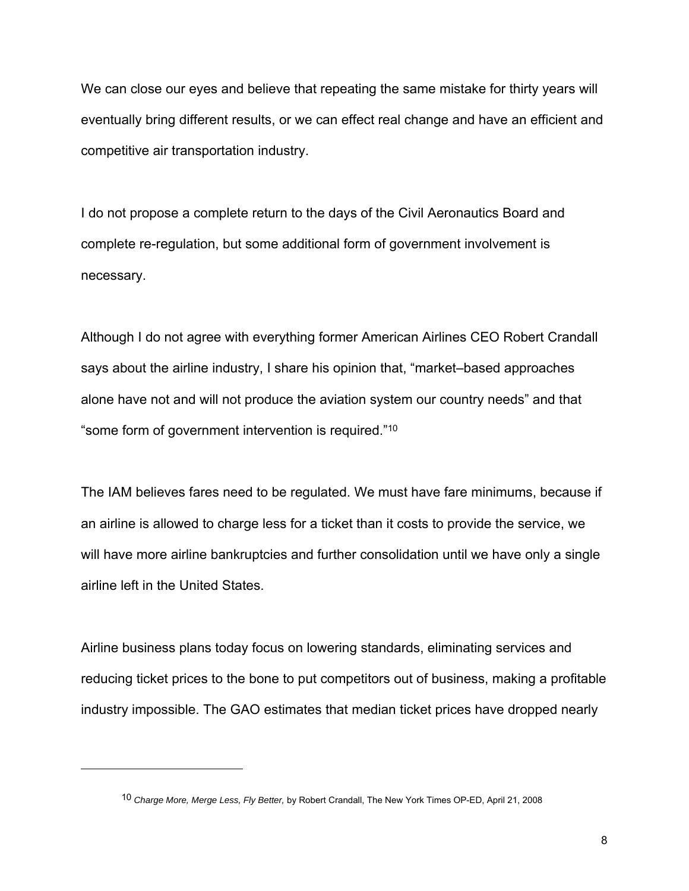We can close our eyes and believe that repeating the same mistake for thirty years will eventually bring different results, or we can effect real change and have an efficient and competitive air transportation industry.

I do not propose a complete return to the days of the Civil Aeronautics Board and complete re-regulation, but some additional form of government involvement is necessary.

Although I do not agree with everything former American Airlines CEO Robert Crandall says about the airline industry, I share his opinion that, "market–based approaches alone have not and will not produce the aviation system our country needs" and that "some form of government intervention is required."10

The IAM believes fares need to be regulated. We must have fare minimums, because if an airline is allowed to charge less for a ticket than it costs to provide the service, we will have more airline bankruptcies and further consolidation until we have only a single airline left in the United States.

Airline business plans today focus on lowering standards, eliminating services and reducing ticket prices to the bone to put competitors out of business, making a profitable industry impossible. The GAO estimates that median ticket prices have dropped nearly

1

<sup>10</sup> *Charge More, Merge Less, Fly Better,* by Robert Crandall, The New York Times OP-ED, April 21, 2008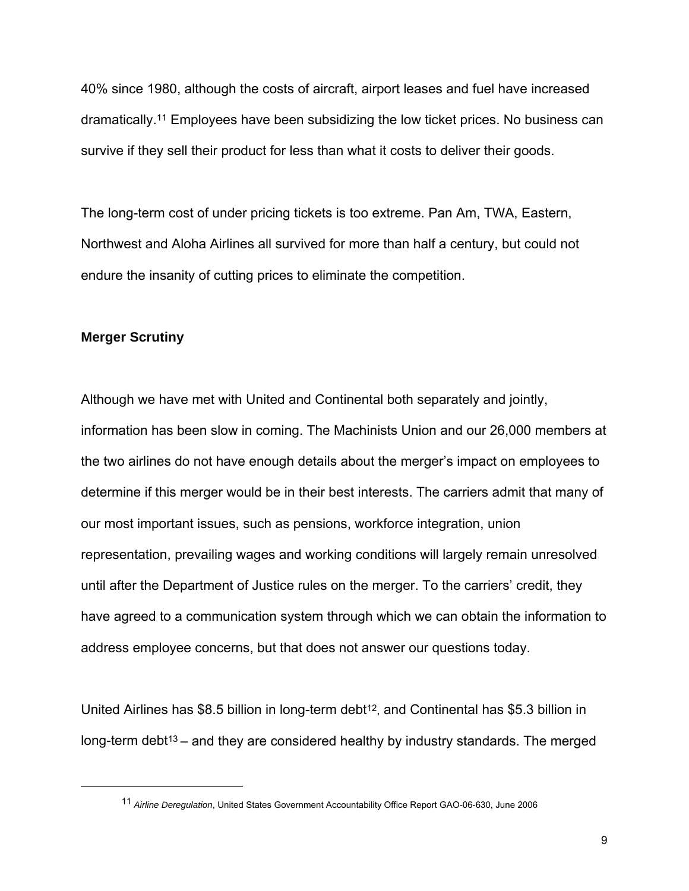40% since 1980, although the costs of aircraft, airport leases and fuel have increased dramatically.11 Employees have been subsidizing the low ticket prices. No business can survive if they sell their product for less than what it costs to deliver their goods.

The long-term cost of under pricing tickets is too extreme. Pan Am, TWA, Eastern, Northwest and Aloha Airlines all survived for more than half a century, but could not endure the insanity of cutting prices to eliminate the competition.

### **Merger Scrutiny**

1

Although we have met with United and Continental both separately and jointly, information has been slow in coming. The Machinists Union and our 26,000 members at the two airlines do not have enough details about the merger's impact on employees to determine if this merger would be in their best interests. The carriers admit that many of our most important issues, such as pensions, workforce integration, union representation, prevailing wages and working conditions will largely remain unresolved until after the Department of Justice rules on the merger. To the carriers' credit, they have agreed to a communication system through which we can obtain the information to address employee concerns, but that does not answer our questions today.

United Airlines has \$8.5 billion in long-term debt<sup>12</sup>, and Continental has \$5.3 billion in long-term debt<sup>13</sup> – and they are considered healthy by industry standards. The merged

<sup>11</sup> *Airline Deregulation*, United States Government Accountability Office Report GAO-06-630, June 2006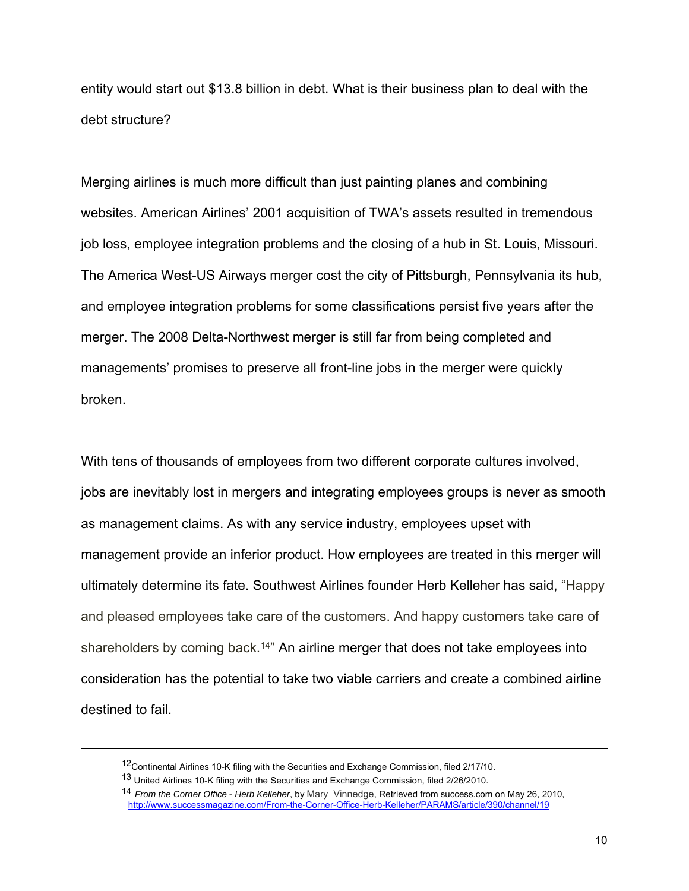entity would start out \$13.8 billion in debt. What is their business plan to deal with the debt structure?

Merging airlines is much more difficult than just painting planes and combining websites. American Airlines' 2001 acquisition of TWA's assets resulted in tremendous job loss, employee integration problems and the closing of a hub in St. Louis, Missouri. The America West-US Airways merger cost the city of Pittsburgh, Pennsylvania its hub, and employee integration problems for some classifications persist five years after the merger. The 2008 Delta-Northwest merger is still far from being completed and managements' promises to preserve all front-line jobs in the merger were quickly broken.

With tens of thousands of employees from two different corporate cultures involved, jobs are inevitably lost in mergers and integrating employees groups is never as smooth as management claims. As with any service industry, employees upset with management provide an inferior product. How employees are treated in this merger will ultimately determine its fate. Southwest Airlines founder Herb Kelleher has said, "Happy and pleased employees take care of the customers. And happy customers take care of shareholders by coming back.14" An airline merger that does not take employees into consideration has the potential to take two viable carriers and create a combined airline destined to fail.

<sup>&</sup>lt;sup>12</sup>Continental Airlines 10-K filing with the Securities and Exchange Commission, filed 2/17/10.

<sup>13</sup> United Airlines 10-K filing with the Securities and Exchange Commission, filed 2/26/2010.

<sup>14</sup> *From the Corner Office* - *Herb Kelleher*, by Mary Vinnedge, Retrieved from success.com on May 26, 2010, http://www.successmagazine.com/From-the-Corner-Office-Herb-Kelleher/PARAMS/article/390/channel/19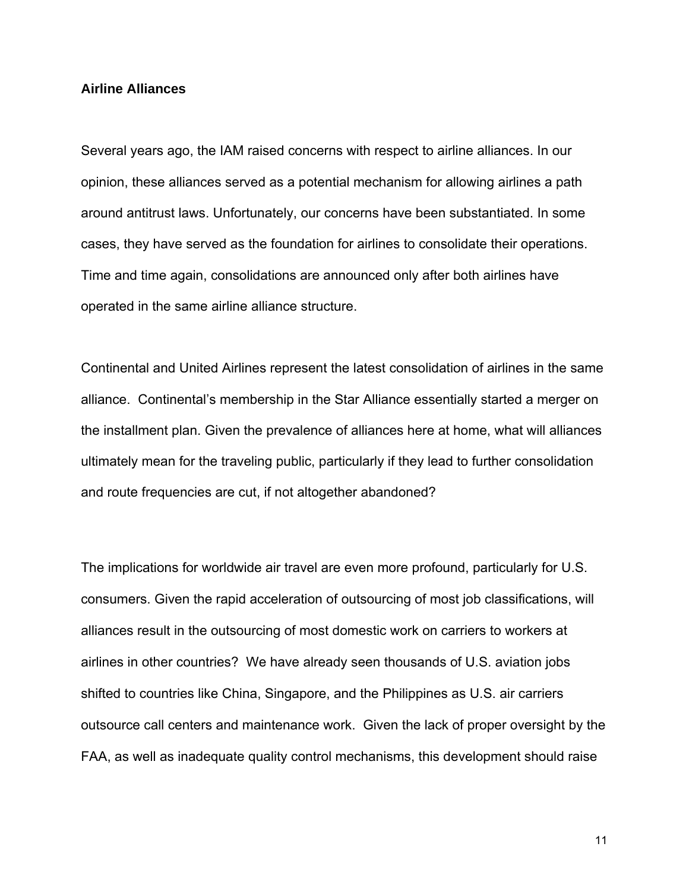#### **Airline Alliances**

Several years ago, the IAM raised concerns with respect to airline alliances. In our opinion, these alliances served as a potential mechanism for allowing airlines a path around antitrust laws. Unfortunately, our concerns have been substantiated. In some cases, they have served as the foundation for airlines to consolidate their operations. Time and time again, consolidations are announced only after both airlines have operated in the same airline alliance structure.

Continental and United Airlines represent the latest consolidation of airlines in the same alliance. Continental's membership in the Star Alliance essentially started a merger on the installment plan. Given the prevalence of alliances here at home, what will alliances ultimately mean for the traveling public, particularly if they lead to further consolidation and route frequencies are cut, if not altogether abandoned?

The implications for worldwide air travel are even more profound, particularly for U.S. consumers. Given the rapid acceleration of outsourcing of most job classifications, will alliances result in the outsourcing of most domestic work on carriers to workers at airlines in other countries? We have already seen thousands of U.S. aviation jobs shifted to countries like China, Singapore, and the Philippines as U.S. air carriers outsource call centers and maintenance work. Given the lack of proper oversight by the FAA, as well as inadequate quality control mechanisms, this development should raise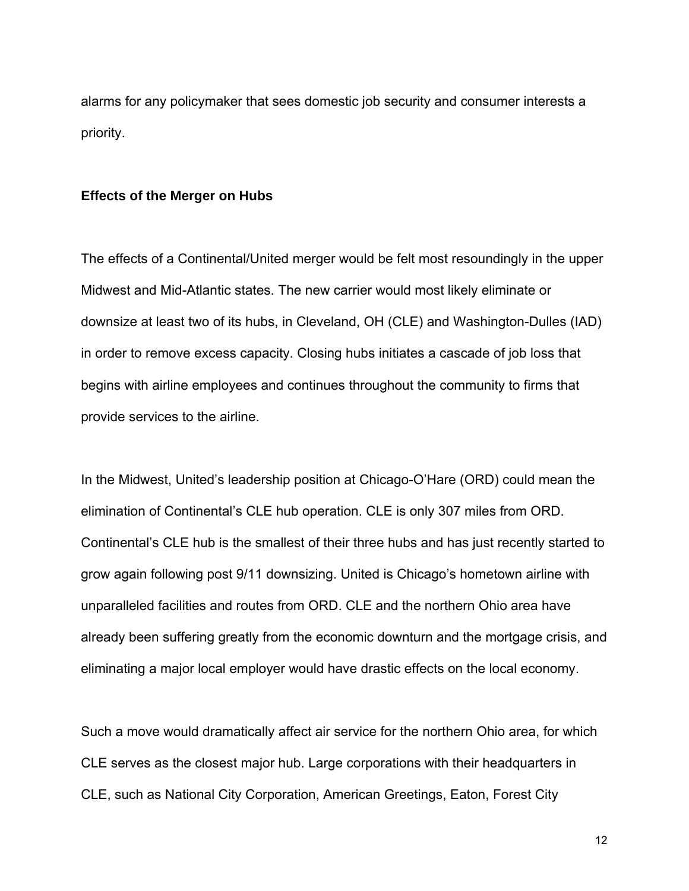alarms for any policymaker that sees domestic job security and consumer interests a priority.

#### **Effects of the Merger on Hubs**

The effects of a Continental/United merger would be felt most resoundingly in the upper Midwest and Mid-Atlantic states. The new carrier would most likely eliminate or downsize at least two of its hubs, in Cleveland, OH (CLE) and Washington-Dulles (IAD) in order to remove excess capacity. Closing hubs initiates a cascade of job loss that begins with airline employees and continues throughout the community to firms that provide services to the airline.

In the Midwest, United's leadership position at Chicago-O'Hare (ORD) could mean the elimination of Continental's CLE hub operation. CLE is only 307 miles from ORD. Continental's CLE hub is the smallest of their three hubs and has just recently started to grow again following post 9/11 downsizing. United is Chicago's hometown airline with unparalleled facilities and routes from ORD. CLE and the northern Ohio area have already been suffering greatly from the economic downturn and the mortgage crisis, and eliminating a major local employer would have drastic effects on the local economy.

Such a move would dramatically affect air service for the northern Ohio area, for which CLE serves as the closest major hub. Large corporations with their headquarters in CLE, such as National City Corporation, American Greetings, Eaton, Forest City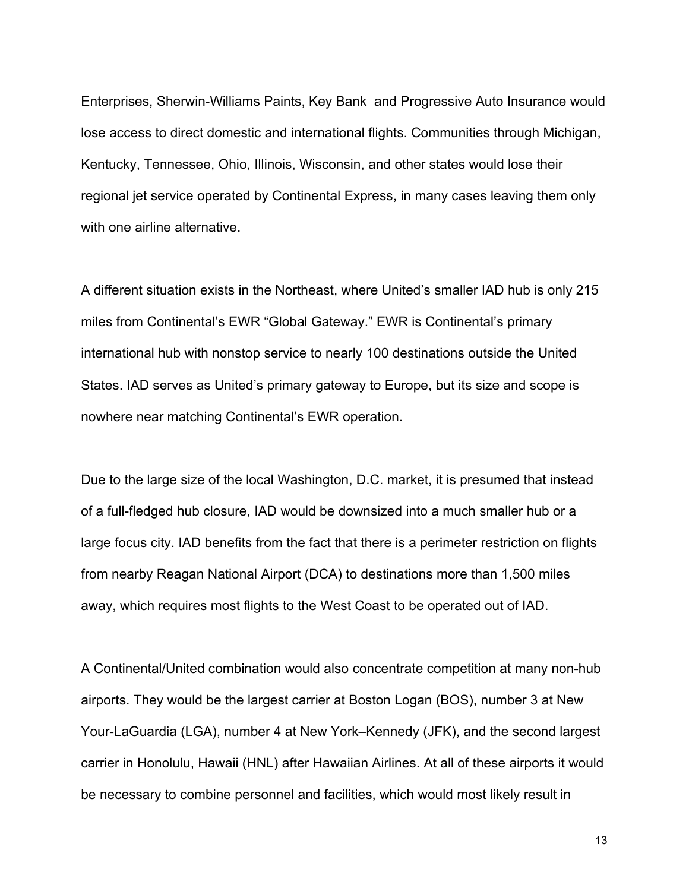Enterprises, Sherwin-Williams Paints, Key Bank and Progressive Auto Insurance would lose access to direct domestic and international flights. Communities through Michigan, Kentucky, Tennessee, Ohio, Illinois, Wisconsin, and other states would lose their regional jet service operated by Continental Express, in many cases leaving them only with one airline alternative.

A different situation exists in the Northeast, where United's smaller IAD hub is only 215 miles from Continental's EWR "Global Gateway." EWR is Continental's primary international hub with nonstop service to nearly 100 destinations outside the United States. IAD serves as United's primary gateway to Europe, but its size and scope is nowhere near matching Continental's EWR operation.

Due to the large size of the local Washington, D.C. market, it is presumed that instead of a full-fledged hub closure, IAD would be downsized into a much smaller hub or a large focus city. IAD benefits from the fact that there is a perimeter restriction on flights from nearby Reagan National Airport (DCA) to destinations more than 1,500 miles away, which requires most flights to the West Coast to be operated out of IAD.

A Continental/United combination would also concentrate competition at many non-hub airports. They would be the largest carrier at Boston Logan (BOS), number 3 at New Your-LaGuardia (LGA), number 4 at New York–Kennedy (JFK), and the second largest carrier in Honolulu, Hawaii (HNL) after Hawaiian Airlines. At all of these airports it would be necessary to combine personnel and facilities, which would most likely result in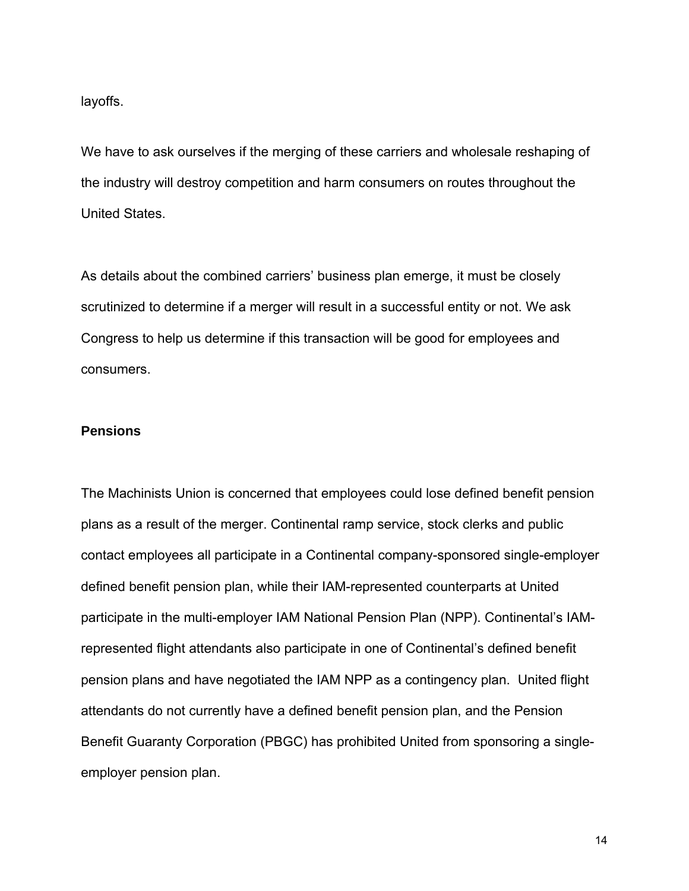layoffs.

We have to ask ourselves if the merging of these carriers and wholesale reshaping of the industry will destroy competition and harm consumers on routes throughout the United States.

As details about the combined carriers' business plan emerge, it must be closely scrutinized to determine if a merger will result in a successful entity or not. We ask Congress to help us determine if this transaction will be good for employees and consumers.

### **Pensions**

The Machinists Union is concerned that employees could lose defined benefit pension plans as a result of the merger. Continental ramp service, stock clerks and public contact employees all participate in a Continental company-sponsored single-employer defined benefit pension plan, while their IAM-represented counterparts at United participate in the multi-employer IAM National Pension Plan (NPP). Continental's IAMrepresented flight attendants also participate in one of Continental's defined benefit pension plans and have negotiated the IAM NPP as a contingency plan. United flight attendants do not currently have a defined benefit pension plan, and the Pension Benefit Guaranty Corporation (PBGC) has prohibited United from sponsoring a singleemployer pension plan.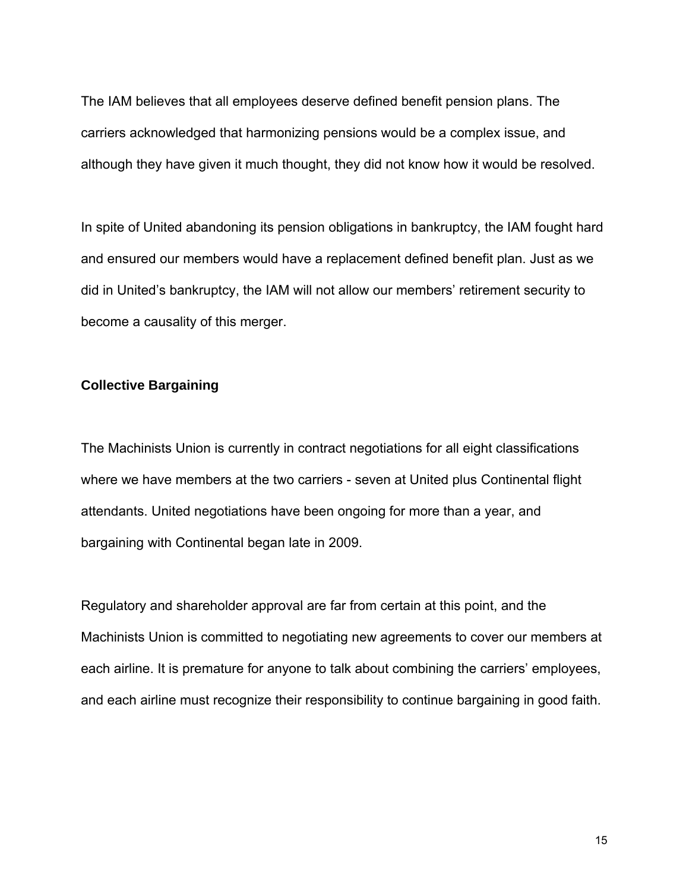The IAM believes that all employees deserve defined benefit pension plans. The carriers acknowledged that harmonizing pensions would be a complex issue, and although they have given it much thought, they did not know how it would be resolved.

In spite of United abandoning its pension obligations in bankruptcy, the IAM fought hard and ensured our members would have a replacement defined benefit plan. Just as we did in United's bankruptcy, the IAM will not allow our members' retirement security to become a causality of this merger.

# **Collective Bargaining**

The Machinists Union is currently in contract negotiations for all eight classifications where we have members at the two carriers - seven at United plus Continental flight attendants. United negotiations have been ongoing for more than a year, and bargaining with Continental began late in 2009.

Regulatory and shareholder approval are far from certain at this point, and the Machinists Union is committed to negotiating new agreements to cover our members at each airline. It is premature for anyone to talk about combining the carriers' employees, and each airline must recognize their responsibility to continue bargaining in good faith.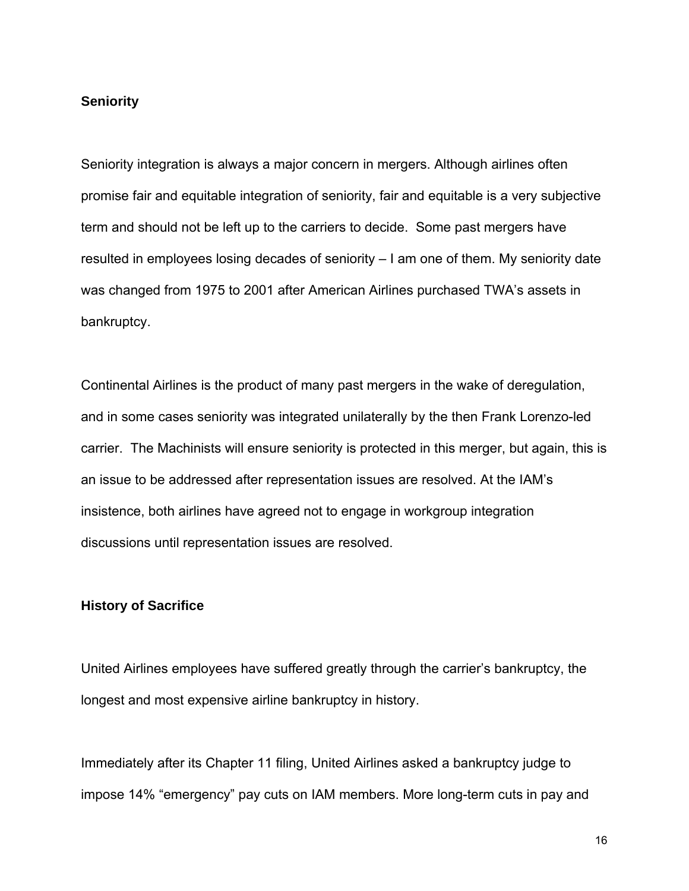### **Seniority**

Seniority integration is always a major concern in mergers. Although airlines often promise fair and equitable integration of seniority, fair and equitable is a very subjective term and should not be left up to the carriers to decide. Some past mergers have resulted in employees losing decades of seniority – I am one of them. My seniority date was changed from 1975 to 2001 after American Airlines purchased TWA's assets in bankruptcy.

Continental Airlines is the product of many past mergers in the wake of deregulation, and in some cases seniority was integrated unilaterally by the then Frank Lorenzo-led carrier. The Machinists will ensure seniority is protected in this merger, but again, this is an issue to be addressed after representation issues are resolved. At the IAM's insistence, both airlines have agreed not to engage in workgroup integration discussions until representation issues are resolved.

#### **History of Sacrifice**

United Airlines employees have suffered greatly through the carrier's bankruptcy, the longest and most expensive airline bankruptcy in history.

Immediately after its Chapter 11 filing, United Airlines asked a bankruptcy judge to impose 14% "emergency" pay cuts on IAM members. More long-term cuts in pay and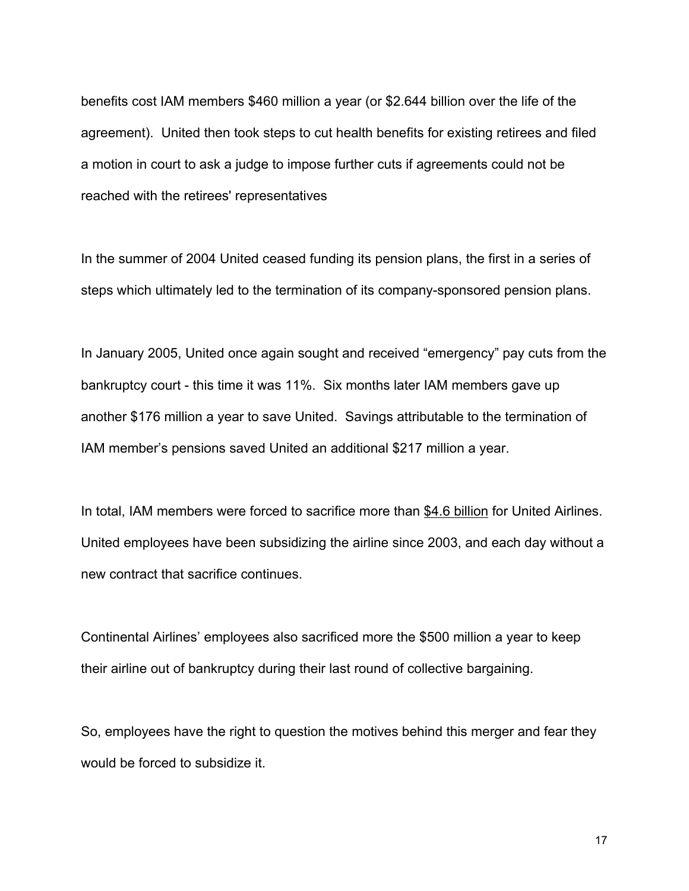benefits cost IAM members \$460 million a year (or \$2.644 billion over the life of the agreement). United then took steps to cut health benefits for existing retirees and filed a motion in court to ask a judge to impose further cuts if agreements could not be reached with the retirees' representatives

In the summer of 2004 United ceased funding its pension plans, the first in a series of steps which ultimately led to the termination of its company-sponsored pension plans.

In January 2005, United once again sought and received "emergency" pay cuts from the bankruptcy court - this time it was 11%. Six months later IAM members gave up another \$176 million a year to save United. Savings attributable to the termination of IAM member's pensions saved United an additional \$217 million a year.

In total, IAM members were forced to sacrifice more than \$4.6 billion for United Airlines. United employees have been subsidizing the airline since 2003, and each day without a new contract that sacrifice continues.

Continental Airlines' employees also sacrificed more the \$500 million a year to keep their airline out of bankruptcy during their last round of collective bargaining.

So, employees have the right to question the motives behind this merger and fear they would be forced to subsidize it.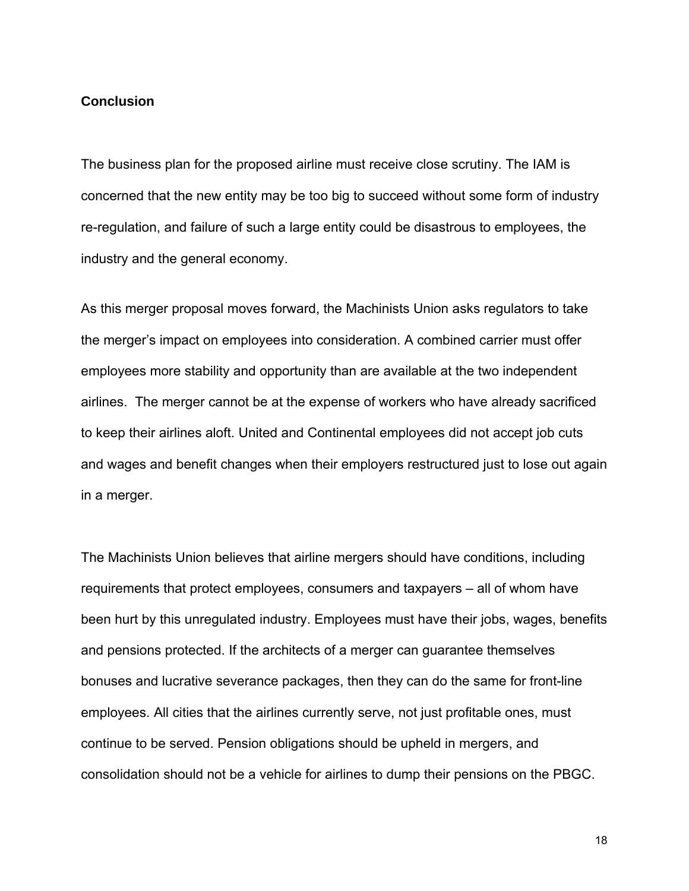# **Conclusion**

The business plan for the proposed airline must receive close scrutiny. The IAM is concerned that the new entity may be too big to succeed without some form of industry re-regulation, and failure of such a large entity could be disastrous to employees, the industry and the general economy.

As this merger proposal moves forward, the Machinists Union asks regulators to take the merger's impact on employees into consideration. A combined carrier must offer employees more stability and opportunity than are available at the two independent airlines. The merger cannot be at the expense of workers who have already sacrificed to keep their airlines aloft. United and Continental employees did not accept job cuts and wages and benefit changes when their employers restructured just to lose out again in a merger.

The Machinists Union believes that airline mergers should have conditions, including requirements that protect employees, consumers and taxpayers – all of whom have been hurt by this unregulated industry. Employees must have their jobs, wages, benefits and pensions protected. If the architects of a merger can guarantee themselves bonuses and lucrative severance packages, then they can do the same for front-line employees. All cities that the airlines currently serve, not just profitable ones, must continue to be served. Pension obligations should be upheld in mergers, and consolidation should not be a vehicle for airlines to dump their pensions on the PBGC.